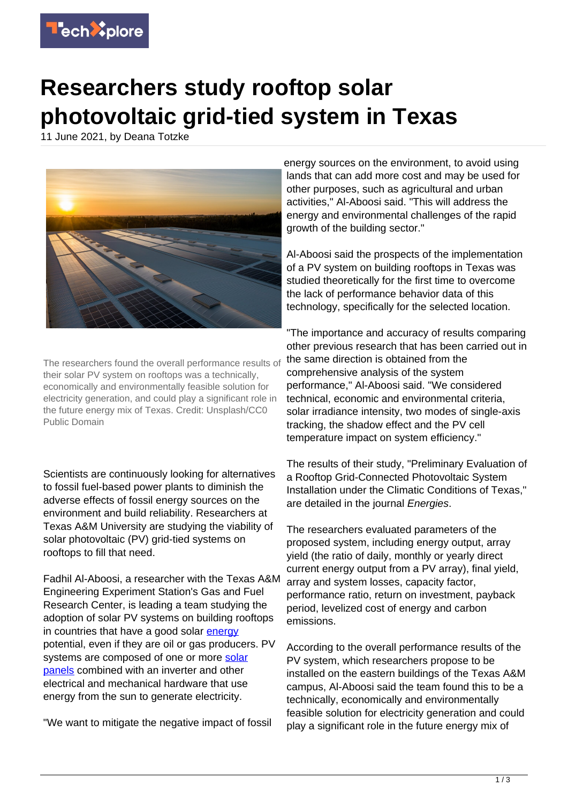

## **Researchers study rooftop solar photovoltaic grid-tied system in Texas**

11 June 2021, by Deana Totzke



The researchers found the overall performance results of their solar PV system on rooftops was a technically, economically and environmentally feasible solution for electricity generation, and could play a significant role in the future energy mix of Texas. Credit: Unsplash/CC0 Public Domain

Scientists are continuously looking for alternatives to fossil fuel-based power plants to diminish the adverse effects of fossil energy sources on the environment and build reliability. Researchers at Texas A&M University are studying the viability of solar photovoltaic (PV) grid-tied systems on rooftops to fill that need.

Fadhil Al-Aboosi, a researcher with the Texas A&M Engineering Experiment Station's Gas and Fuel Research Center, is leading a team studying the adoption of solar PV systems on building rooftops in countries that have a good solar [energy](https://techxplore.com/tags/energy/) potential, even if they are oil or gas producers. PV systems are composed of one or more [solar](https://techxplore.com/tags/solar+panels/) [panels](https://techxplore.com/tags/solar+panels/) combined with an inverter and other electrical and mechanical hardware that use energy from the sun to generate electricity.

"We want to mitigate the negative impact of fossil

energy sources on the environment, to avoid using lands that can add more cost and may be used for other purposes, such as agricultural and urban activities," Al-Aboosi said. "This will address the energy and environmental challenges of the rapid growth of the building sector."

Al-Aboosi said the prospects of the implementation of a PV system on building rooftops in Texas was studied theoretically for the first time to overcome the lack of performance behavior data of this technology, specifically for the selected location.

"The importance and accuracy of results comparing other previous research that has been carried out in the same direction is obtained from the comprehensive analysis of the system performance," Al-Aboosi said. "We considered technical, economic and environmental criteria, solar irradiance intensity, two modes of single-axis tracking, the shadow effect and the PV cell temperature impact on system efficiency."

The results of their study, "Preliminary Evaluation of a Rooftop Grid-Connected Photovoltaic System Installation under the Climatic Conditions of Texas," are detailed in the journal Energies.

The researchers evaluated parameters of the proposed system, including energy output, array yield (the ratio of daily, monthly or yearly direct current energy output from a PV array), final yield, array and system losses, capacity factor, performance ratio, return on investment, payback period, levelized cost of energy and carbon emissions.

According to the overall performance results of the PV system, which researchers propose to be installed on the eastern buildings of the Texas A&M campus, Al-Aboosi said the team found this to be a technically, economically and environmentally feasible solution for electricity generation and could play a significant role in the future energy mix of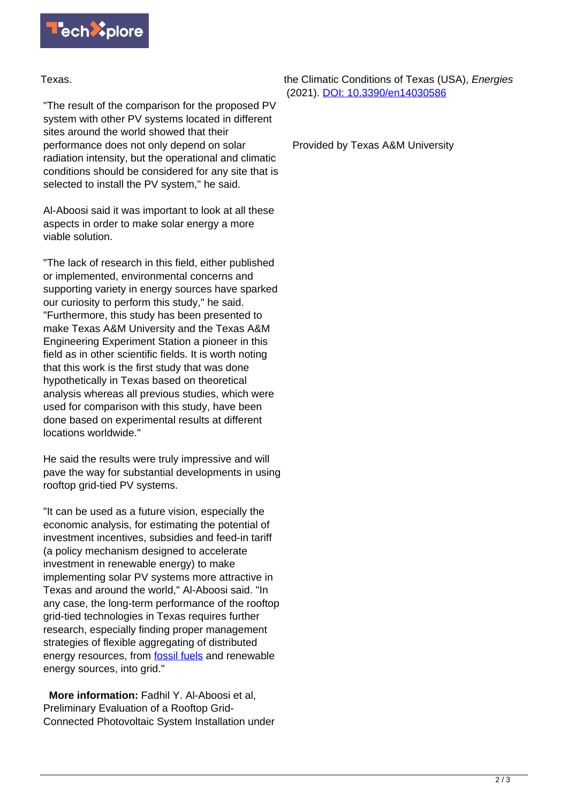

Texas.

"The result of the comparison for the proposed PV system with other PV systems located in different sites around the world showed that their performance does not only depend on solar radiation intensity, but the operational and climatic conditions should be considered for any site that is selected to install the PV system," he said.

Al-Aboosi said it was important to look at all these aspects in order to make solar energy a more viable solution.

"The lack of research in this field, either published or implemented, environmental concerns and supporting variety in energy sources have sparked our curiosity to perform this study," he said. "Furthermore, this study has been presented to make Texas A&M University and the Texas A&M Engineering Experiment Station a pioneer in this field as in other scientific fields. It is worth noting that this work is the first study that was done hypothetically in Texas based on theoretical analysis whereas all previous studies, which were used for comparison with this study, have been done based on experimental results at different locations worldwide."

He said the results were truly impressive and will pave the way for substantial developments in using rooftop grid-tied PV systems.

"It can be used as a future vision, especially the economic analysis, for estimating the potential of investment incentives, subsidies and feed-in tariff (a policy mechanism designed to accelerate investment in renewable energy) to make implementing solar PV systems more attractive in Texas and around the world," Al-Aboosi said. "In any case, the long-term performance of the rooftop grid-tied technologies in Texas requires further research, especially finding proper management strategies of flexible aggregating of distributed energy resources, from **fossil fuels** and renewable energy sources, into grid."

 **More information:** Fadhil Y. Al-Aboosi et al, Preliminary Evaluation of a Rooftop Grid-Connected Photovoltaic System Installation under the Climatic Conditions of Texas (USA), *Energies* (2021). [DOI: 10.3390/en14030586](http://dx.doi.org/10.3390/en14030586)

Provided by Texas A&M University